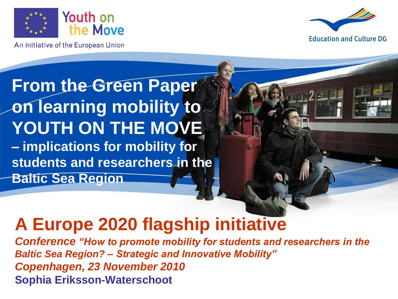

An initiative of the European Union



#### **From the Green Paper on learning mobility to** YOUTH ON THE MOVE **– implications for mobility for**

**students and researchers in the** 

**Baltic Sea Region**

#### **A Europe 2020 flagship initiative**

*Conference "How to promote mobility for students and researchers in the Baltic Sea Region? – Strategic and Innovative Mobility" Copenhagen, 23 November 2010* **Sophia Eriksson-Waterschoot**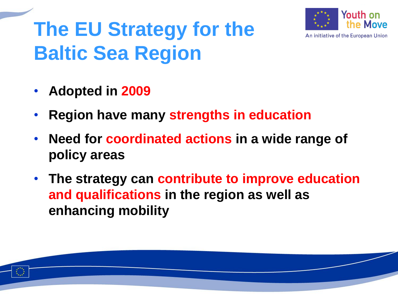# **The EU Strategy for the Baltic Sea Region**



- **Adopted in 2009**
- **Region have many strengths in education**
- **Need for coordinated actions in a wide range of policy areas**
- **The strategy can contribute to improve education and qualifications in the region as well as enhancing mobility**

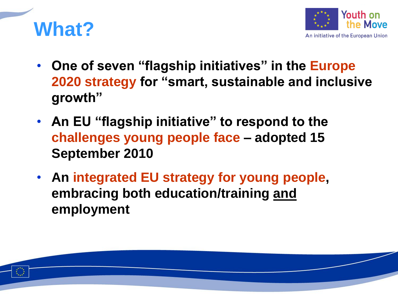



- **One of seven "flagship initiatives" in the Europe 2020 strategy for "smart, sustainable and inclusive growth"**
- **An EU "flagship initiative" to respond to the challenges young people face – adopted 15 September 2010**
- **An integrated EU strategy for young people, embracing both education/training and employment**

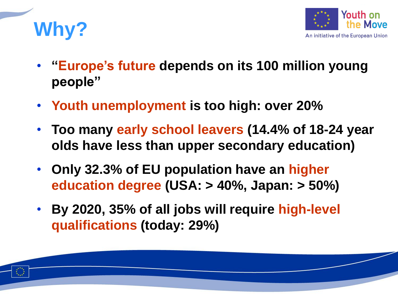



- **"Europe's future depends on its 100 million young people"**
- **Youth unemployment is too high: over 20%**
- **Too many early school leavers (14.4% of 18-24 year olds have less than upper secondary education)**
- **Only 32.3% of EU population have an higher education degree (USA: > 40%, Japan: > 50%)**
- **By 2020, 35% of all jobs will require high-level qualifications (today: 29%)**

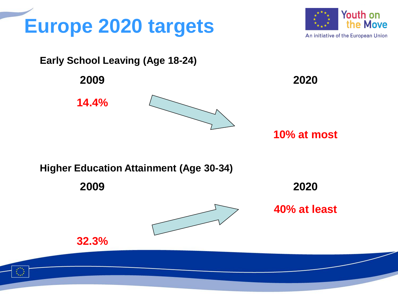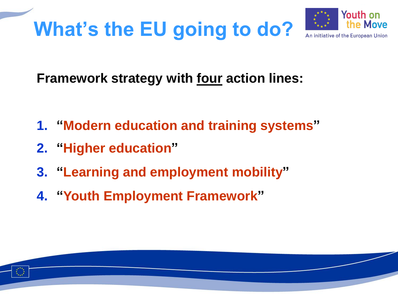

#### **Framework strategy with four action lines:**

- **1. "Modern education and training systems"**
- **2. "Higher education"**
- **3. "Learning and employment mobility"**
- **4. "Youth Employment Framework"**

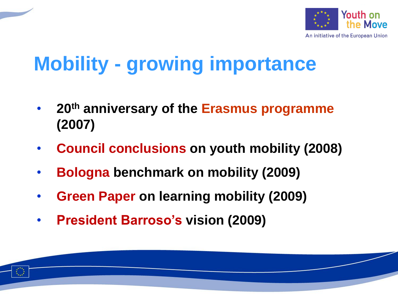

# **Mobility - growing importance**

- **20th anniversary of the Erasmus programme (2007)**
- **Council conclusions on youth mobility (2008)**
- **Bologna benchmark on mobility (2009)**
- **Green Paper on learning mobility (2009)**
- **President Barroso's vision (2009)**

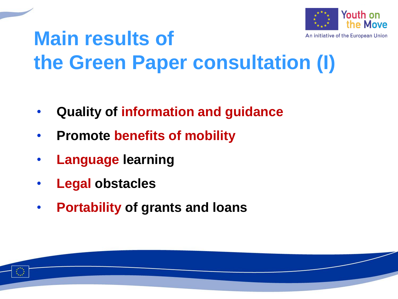

## **Main results of the Green Paper consultation (I)**

- **Quality of information and guidance**
- **Promote benefits of mobility**
- **Language learning**
- **Legal obstacles**
- **Portability of grants and loans**

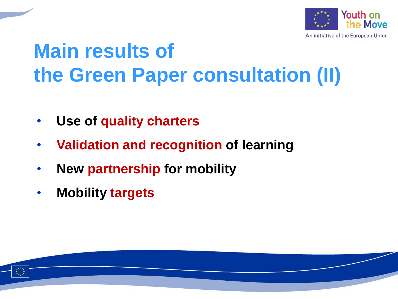

# **Main results of the Green Paper consultation (II)**

- **Use of quality charters**
- **Validation and recognition of learning**
- **New partnership for mobility**
- **Mobility targets**

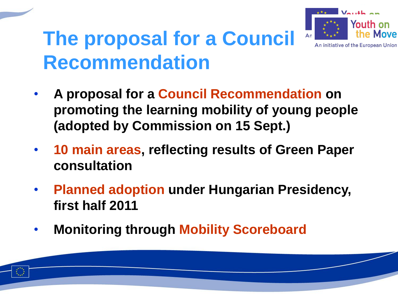

An initiative of the European Union

### **The proposal for a Council Recommendation**

- **A proposal for a Council Recommendation on promoting the learning mobility of young people (adopted by Commission on 15 Sept.)**
- **10 main areas, reflecting results of Green Paper consultation**
- **Planned adoption under Hungarian Presidency, first half 2011**
- **Monitoring through Mobility Scoreboard**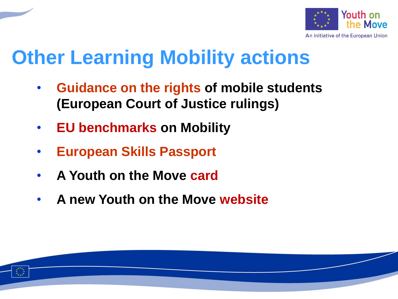

# **Other Learning Mobility actions**

- **Guidance on the rights of mobile students (European Court of Justice rulings)**
- **EU benchmarks on Mobility**
- **European Skills Passport**
- **A Youth on the Move card**
- **A new Youth on the Move website**

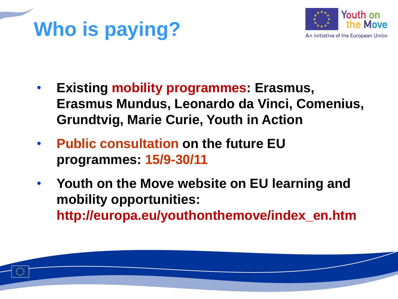# **Who is paying?**



- **Existing mobility programmes: Erasmus, Erasmus Mundus, Leonardo da Vinci, Comenius, Grundtvig, Marie Curie, Youth in Action**
- **Public consultation on the future EU programmes: 15/9-30/11**
- **Youth on the Move website on EU learning and mobility opportunities: http://europa.eu/youthonthemove/index\_en.htm**

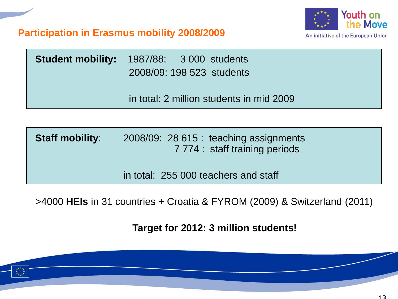



| <b>Student mobility:</b> 1987/88: 3 000 students<br>2008/09: 198 523 students |
|-------------------------------------------------------------------------------|
| in total: 2 million students in mid 2009                                      |

**Staff mobility**: 2008/09: 28 615 : teaching assignments 7 774 : staff training periods

in total: 255 000 teachers and staff

>4000 **HEIs** in 31 countries + Croatia & FYROM (2009) & Switzerland (2011)

**Target for 2012: 3 million students!**

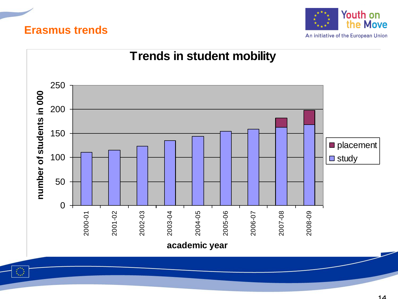#### **Erasmus trends**